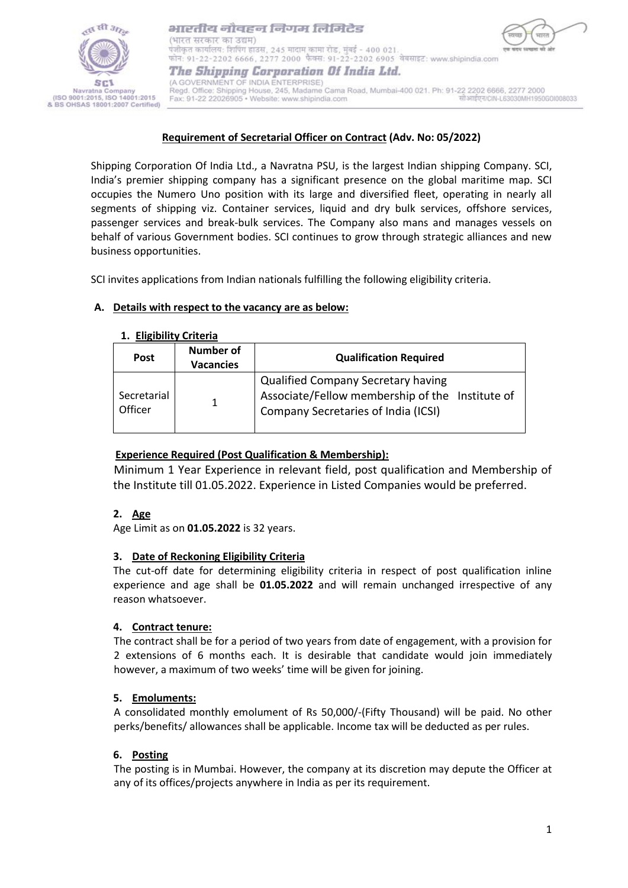

भारतीय नौवहन निगम लिमिटेड (भारत सरकार का उद्यम) पंजीकृत कार्यालय: शिपिंग हाउस, 245 मादाम कामा रोड, मुंबई - 400 021. फोन: 91-22-2202 6666, 2277 2000 फैक्स: 91-22-2202 6905 वेबसाइट: www.shipindia.com The Shipping Corporation Of India Ltd. (A GOVERNMENT OF INDIA ENTERPRISE)

Regd. Office: Shipping House, 245, Madame Cama Road, Mumbai-400 021. Ph: 91-22 2202 6666, 2277 2000 सीआईएन/CIN-L63030MH1950G0I008033 Fax: 91-22 22026905 · Website: www.shipindia.com

## **Requirement of Secretarial Officer on Contract (Adv. No: 05/2022)**

Shipping Corporation Of India Ltd., a Navratna PSU, is the largest Indian shipping Company. SCI, India's premier shipping company has a significant presence on the global maritime map. SCI occupies the Numero Uno position with its large and diversified fleet, operating in nearly all segments of shipping viz. Container services, liquid and dry bulk services, offshore services, passenger services and break-bulk services. The Company also mans and manages vessels on behalf of various Government bodies. SCI continues to grow through strategic alliances and new business opportunities.

SCI invites applications from Indian nationals fulfilling the following eligibility criteria.

## **A. Details with respect to the vacancy are as below:**

### **1. Eligibility Criteria**

| <b>Post</b>            | Number of<br><b>Vacancies</b> | <b>Qualification Required</b>                                                                                                       |
|------------------------|-------------------------------|-------------------------------------------------------------------------------------------------------------------------------------|
| Secretarial<br>Officer | 1.                            | <b>Qualified Company Secretary having</b><br>Associate/Fellow membership of the Institute of<br>Company Secretaries of India (ICSI) |

# **Experience Required (Post Qualification & Membership):**

Minimum 1 Year Experience in relevant field, post qualification and Membership of the Institute till 01.05.2022. Experience in Listed Companies would be preferred.

# **2. Age**

Age Limit as on **01.05.2022** is 32 years.

# **3. Date of Reckoning Eligibility Criteria**

The cut-off date for determining eligibility criteria in respect of post qualification inline experience and age shall be **01.05.2022** and will remain unchanged irrespective of any reason whatsoever.

# **4. Contract tenure:**

The contract shall be for a period of two years from date of engagement, with a provision for 2 extensions of 6 months each. It is desirable that candidate would join immediately however, a maximum of two weeks' time will be given for joining.

### **5. Emoluments:**

A consolidated monthly emolument of Rs 50,000/-(Fifty Thousand) will be paid. No other perks/benefits/ allowances shall be applicable. Income tax will be deducted as per rules.

### **6. Posting**

The posting is in Mumbai. However, the company at its discretion may depute the Officer at any of its offices/projects anywhere in India as per its requirement.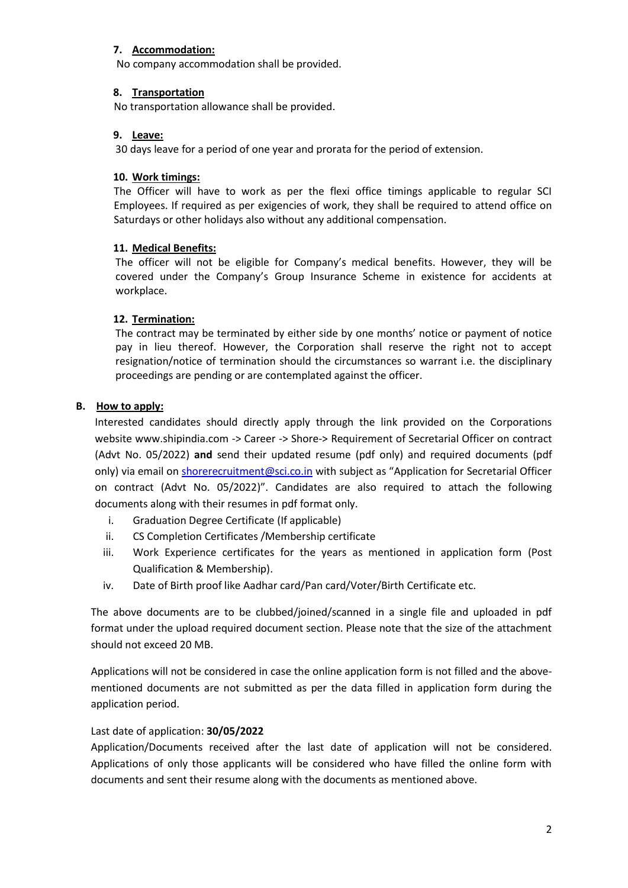## **7. Accommodation:**

No company accommodation shall be provided.

### **8. Transportation**

No transportation allowance shall be provided.

## **9. Leave:**

30 days leave for a period of one year and prorata for the period of extension.

## **10. Work timings:**

The Officer will have to work as per the flexi office timings applicable to regular SCI Employees. If required as per exigencies of work, they shall be required to attend office on Saturdays or other holidays also without any additional compensation.

## **11. Medical Benefits:**

The officer will not be eligible for Company's medical benefits. However, they will be covered under the Company's Group Insurance Scheme in existence for accidents at workplace.

## **12. Termination:**

The contract may be terminated by either side by one months' notice or payment of notice pay in lieu thereof. However, the Corporation shall reserve the right not to accept resignation/notice of termination should the circumstances so warrant i.e. the disciplinary proceedings are pending or are contemplated against the officer.

# **B. How to apply:**

Interested candidates should directly apply through the link provided on the Corporations website [www.shipindia.com](http://www.shipindia.com/) -> Career -> Shore-> Requirement of Secretarial Officer on contract (Advt No. 05/2022) **and** send their updated resume (pdf only) and required documents (pdf only) via email on [shorerecruitment@sci.co.in](mailto:shorerecruitment@sci.co.in) with subject as "Application for Secretarial Officer on contract (Advt No. 05/2022)". Candidates are also required to attach the following documents along with their resumes in pdf format only.

- i. Graduation Degree Certificate (If applicable)
- ii. CS Completion Certificates /Membership certificate
- iii. Work Experience certificates for the years as mentioned in application form (Post Qualification & Membership).
- iv. Date of Birth proof like Aadhar card/Pan card/Voter/Birth Certificate etc.

The above documents are to be clubbed/joined/scanned in a single file and uploaded in pdf format under the upload required document section. Please note that the size of the attachment should not exceed 20 MB.

Applications will not be considered in case the online application form is not filled and the abovementioned documents are not submitted as per the data filled in application form during the application period.

# Last date of application: **30/05/2022**

Application/Documents received after the last date of application will not be considered. Applications of only those applicants will be considered who have filled the online form with documents and sent their resume along with the documents as mentioned above.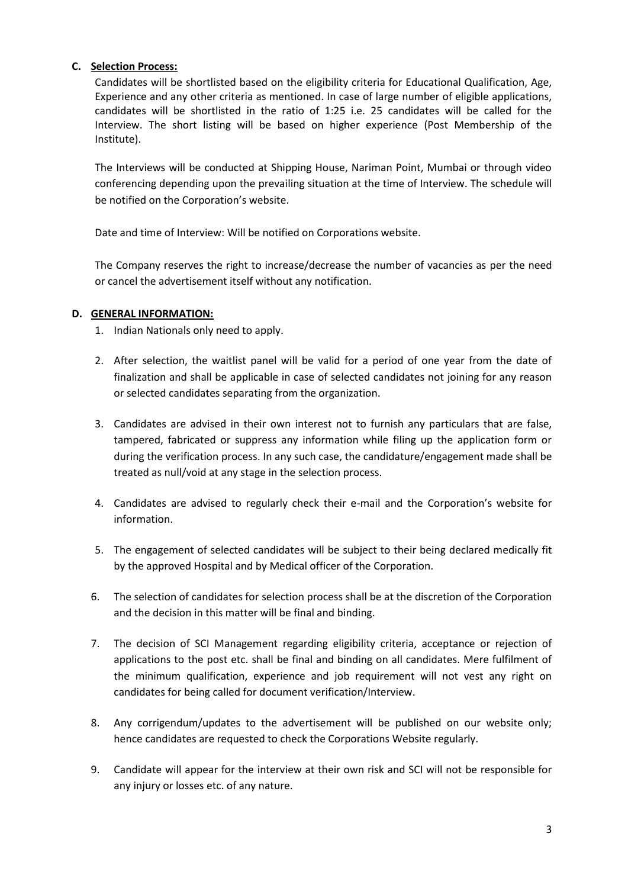## **C. Selection Process:**

Candidates will be shortlisted based on the eligibility criteria for Educational Qualification, Age, Experience and any other criteria as mentioned. In case of large number of eligible applications, candidates will be shortlisted in the ratio of 1:25 i.e. 25 candidates will be called for the Interview. The short listing will be based on higher experience (Post Membership of the Institute).

The Interviews will be conducted at Shipping House, Nariman Point, Mumbai or through video conferencing depending upon the prevailing situation at the time of Interview. The schedule will be notified on the Corporation's website.

Date and time of Interview: Will be notified on Corporations website.

The Company reserves the right to increase/decrease the number of vacancies as per the need or cancel the advertisement itself without any notification.

## **D. GENERAL INFORMATION:**

- 1. Indian Nationals only need to apply.
- 2. After selection, the waitlist panel will be valid for a period of one year from the date of finalization and shall be applicable in case of selected candidates not joining for any reason or selected candidates separating from the organization.
- 3. Candidates are advised in their own interest not to furnish any particulars that are false, tampered, fabricated or suppress any information while filing up the application form or during the verification process. In any such case, the candidature/engagement made shall be treated as null/void at any stage in the selection process.
- 4. Candidates are advised to regularly check their e-mail and the Corporation's website for information.
- 5. The engagement of selected candidates will be subject to their being declared medically fit by the approved Hospital and by Medical officer of the Corporation.
- 6. The selection of candidates for selection process shall be at the discretion of the Corporation and the decision in this matter will be final and binding.
- 7. The decision of SCI Management regarding eligibility criteria, acceptance or rejection of applications to the post etc. shall be final and binding on all candidates. Mere fulfilment of the minimum qualification, experience and job requirement will not vest any right on candidates for being called for document verification/Interview.
- 8. Any corrigendum/updates to the advertisement will be published on our website only; hence candidates are requested to check the Corporations Website regularly.
- 9. Candidate will appear for the interview at their own risk and SCI will not be responsible for any injury or losses etc. of any nature.